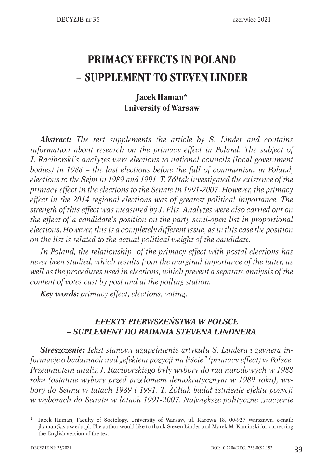## **PRIMACY EFFECTS IN POLAND – SUPPLEMENT TO STEVEN LINDER**

## **Jacek Haman\* University of Warsaw**

*Abstract: The text supplements the article by S. Linder and contains information about research on the primacy effect in Poland. The subject of J. Raciborski's analyzes were elections to national councils (local government*  bodies) in 1988 – the last elections before the fall of communism in Poland, *elections to the Sejm in 1989 and 1991. T. Żółtak investigated the existence of the primacy effect in the elections to the Senate in 1991-2007. However, the primacy effect in the 2014 regional elections was of greatest political importance. The strength of this effect was measured by J. Flis. Analyzes were also carried out on the effect of a candidate's position on the party semi-open list in proportional elections. However, this is a completely different issue, as in this case the position on the list is related to the actual political weight of the candidate.*

*In Poland, the relationship of the primacy effect with postal elections has never been studied, which results from the marginal importance of the latter, as well as the procedures used in elections, which prevent a separate analysis of the content of votes cast by post and at the polling station.*

*Key words: primacy effect, elections, voting.*

## *EFEKTY PIERWSZEŃSTWA W POLSCE – SUPLEMENT DO BADANIA STEVENA LINDNERA*

*Streszczenie: Tekst stanowi uzupełnienie artykułu S. Lindera i zawiera informacje o badaniach nad "efektem pozycji na liście" (primacy effect) w Polsce. Przedmiotem analiz J. Raciborskiego były wybory do rad narodowych w 1988 roku (ostatnie wybory przed przełomem demokratycznym w 1989 roku), wybory do Sejmu w latach 1989 i 1991. T. Żółtak badał istnienie efektu pozycji w wyborach do Senatu w latach 1991-2007. Największe polityczne znaczenie* 

Jacek Haman, Faculty of Sociology, University of Warsaw, ul. Karowa 18, 00-927 Warszawa, e-mail: jhaman@is.uw.edu.pl. The author would like to thank Steven Linder and Marek M. Kaminski for correcting the English version of the text.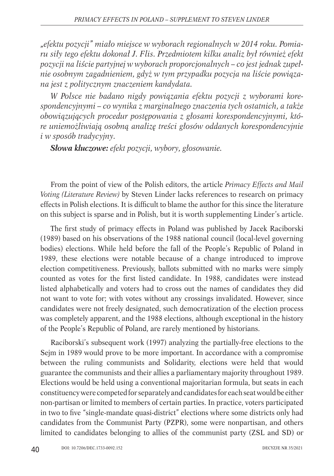*"efektu pozycji" miało miejsce w wyborach regionalnych w 2014 roku. Pomiaru siły tego efektu dokonał J. Flis. Przedmiotem kilku analiz był również efekt pozycji na liście partyjnej w wyborach proporcjonalnych – co jest jednak zupełnie osobnym zagadnieniem, gdyż w tym przypadku pozycja na liście powiązana jest z politycznym znaczeniem kandydata.*

*W Polsce nie badano nigdy powiązania efektu pozycji z wyborami korespondencyjnymi – co wynika z marginalnego znaczenia tych ostatnich, a także obowiązujących procedur postępowania z głosami korespondencyjnymi, które uniemożliwiają osobną analizę treści głosów oddanych korespondencyjnie i w sposób tradycyjny.*

*Słowa kluczowe: efekt pozycji, wybory, głosowanie.*

From the point of view of the Polish editors, the article *Primacy Effects and Mail Voting (Literature Review)* by Steven Linder lacks references to research on primacy effects in Polish elections. It is difficult to blame the author for this since the literature on this subject is sparse and in Polish, but it is worth supplementing Linder's article.

The first study of primacy effects in Poland was published by Jacek Raciborski (1989) based on his observations of the 1988 national council (local-level governing bodies) elections. While held before the fall of the People's Republic of Poland in 1989, these elections were notable because of a change introduced to improve election competitiveness. Previously, ballots submitted with no marks were simply counted as votes for the first listed candidate. In 1988, candidates were instead listed alphabetically and voters had to cross out the names of candidates they did not want to vote for; with votes without any crossings invalidated. However, since candidates were not freely designated, such democratization of the election process was completely apparent, and the 1988 elections, although exceptional in the history of the People's Republic of Poland, are rarely mentioned by historians.

Raciborski's subsequent work (1997) analyzing the partially-free elections to the Sejm in 1989 would prove to be more important. In accordance with a compromise between the ruling communists and Solidarity, elections were held that would guarantee the communists and their allies a parliamentary majority throughout 1989. Elections would be held using a conventional majoritarian formula, but seats in each constituency were competed for separately and candidates for each seat would be either non-partisan or limited to members of certain parties. In practice, voters participated in two to five "single-mandate quasi-district" elections where some districts only had candidates from the Communist Party (PZPR), some were nonpartisan, and others limited to candidates belonging to allies of the communist party (ZSL and SD) or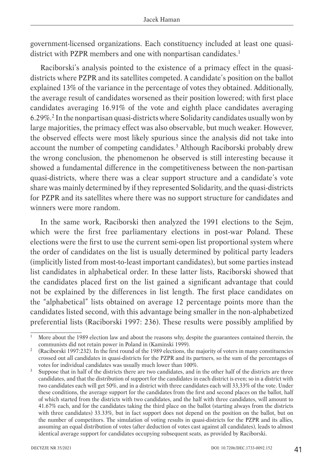government-licensed organizations. Each constituency included at least one quasidistrict with PZPR members and one with nonpartisan candidates.<sup>1</sup>

Raciborski's analysis pointed to the existence of a primacy effect in the quasidistricts where PZPR and its satellites competed. A candidate's position on the ballot explained 13% of the variance in the percentage of votes they obtained. Additionally, the average result of candidates worsened as their position lowered; with first place candidates averaging 16.91% of the vote and eighth place candidates averaging 6.29%.2 In the nonpartisan quasi-districts where Solidarity candidates usually won by large majorities, the primacy effect was also observable, but much weaker. However, the observed effects were most likely spurious since the analysis did not take into account the number of competing candidates.3 Although Raciborski probably drew the wrong conclusion, the phenomenon he observed is still interesting because it showed a fundamental difference in the competitiveness between the non-partisan quasi-districts, where there was a clear support structure and a candidate's vote share was mainly determined by if they represented Solidarity, and the quasi-districts for PZPR and its satellites where there was no support structure for candidates and winners were more random.

In the same work, Raciborski then analyzed the 1991 elections to the Sejm, which were the first free parliamentary elections in post-war Poland. These elections were the first to use the current semi-open list proportional system where the order of candidates on the list is usually determined by political party leaders (implicitly listed from most-to-least important candidates), but some parties instead list candidates in alphabetical order. In these latter lists, Raciborski showed that the candidates placed first on the list gained a significant advantage that could not be explained by the differences in list length. The first place candidates on the "alphabetical" lists obtained on average 12 percentage points more than the candidates listed second, with this advantage being smaller in the non-alphabetized preferential lists (Raciborski 1997: 236). These results were possibly amplified by

More about the 1989 election law and about the reasons why, despite the guarantees contained therein, the communists did not retain power in Poland in (Kaminski 1999).

<sup>&</sup>lt;sup>2</sup> (Raciborski 1997:232). In the first round of the 1989 elections, the majority of voters in many constituencies crossed out all candidates in quasi-districts for the PZPR and its partners, so the sum of the percentages of votes for individual candidates was usually much lower than 100%.

Suppose that in half of the districts there are two candidates, and in the other half of the districts are three candidates, and that the distribution of support for the candidates in each district is even; so in a district with two candidates each will get 50%, and in a district with three candidates each will 33,33% of the vote. Under these conditions, the average support for the candidates from the first and second places on the ballot, half of which started from the districts with two candidates, and the half with three candidates, will amount to 41.67% each, and for the candidates taking the third place on the ballot (starting always from the districts with three candidates) 33.33%, but in fact support does not depend on the position on the ballot, but on the number of competitors. The simulation of voting results in quasi-districts for the PZPR and its allies, assuming an equal distribution of votes (after deduction of votes cast against all candidates), leads to almost identical average support for candidates occupying subsequent seats, as provided by Raciborski.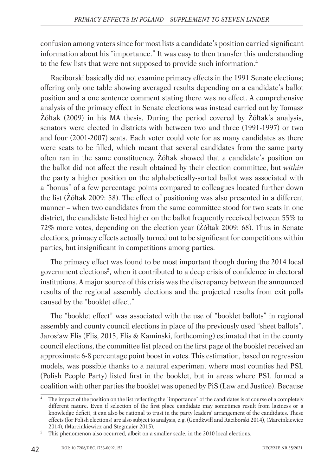confusion among voters since for most lists a candidate's position carried significant information about his "importance." It was easy to then transfer this understanding to the few lists that were not supposed to provide such information.4

Raciborski basically did not examine primacy effects in the 1991 Senate elections; offering only one table showing averaged results depending on a candidate's ballot position and a one sentence comment stating there was no effect. A comprehensive analysis of the primacy effect in Senate elections was instead carried out by Tomasz Żółtak (2009) in his MA thesis. During the period covered by Żółtak's analysis, senators were elected in districts with between two and three (1991-1997) or two and four (2001-2007) seats. Each voter could vote for as many candidates as there were seats to be filled, which meant that several candidates from the same party often ran in the same constituency. Żółtak showed that a candidate's position on the ballot did not affect the result obtained by their election committee, but *within* the party a higher position on the alphabetically-sorted ballot was associated with a "bonus" of a few percentage points compared to colleagues located further down the list (Żółtak 2009: 58). The effect of positioning was also presented in a different manner – when two candidates from the same committee stood for two seats in one district, the candidate listed higher on the ballot frequently received between 55% to 72% more votes, depending on the election year (Żółtak 2009: 68). Thus in Senate elections, primacy effects actually turned out to be significant for competitions within parties, but insignificant in competitions among parties.

The primacy effect was found to be most important though during the 2014 local government elections<sup>5</sup>, when it contributed to a deep crisis of confidence in electoral institutions. A major source of this crisis was the discrepancy between the announced results of the regional assembly elections and the projected results from exit polls caused by the "booklet effect."

The "booklet effect" was associated with the use of "booklet ballots" in regional assembly and county council elections in place of the previously used "sheet ballots". Jarosław Flis (Flis, 2015, Flis & Kaminski, forthcoming) estimated that in the county council elections, the committee list placed on the first page of the booklet received an approximate 6-8 percentage point boost in votes. This estimation, based on regression models, was possible thanks to a natural experiment where most counties had PSL (Polish People Party) listed first in the booklet, but in areas where PSL formed a coalition with other parties the booklet was opened by PiS (Law and Justice). Because

42

The impact of the position on the list reflecting the "importance" of the candidates is of course of a completely different nature. Even if selection of the first place candidate may sometimes result from laziness or a knowledge deficit, it can also be rational to trust in the party leaders' arrangement of the candidates. These effects (for Polish elections) are also subject to analysis, e.g. (Gendźwiłł and Raciborski 2014), (Marcinkiewicz 2014), (Marcinkiewicz and Stegmaier 2015).

<sup>&</sup>lt;sup>5</sup> This phenomenon also occurred, albeit on a smaller scale, in the 2010 local elections.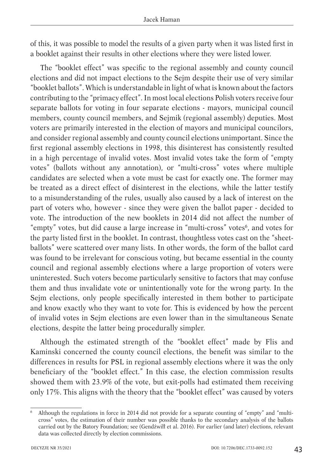of this, it was possible to model the results of a given party when it was listed first in a booklet against their results in other elections where they were listed lower.

The "booklet effect" was specific to the regional assembly and county council elections and did not impact elections to the Sejm despite their use of very similar "booklet ballots". Which is understandable in light of what is known about the factors contributing to the "primacy effect". In most local elections Polish voters receive four separate ballots for voting in four separate elections - mayors, municipal council members, county council members, and Sejmik (regional assembly) deputies. Most voters are primarily interested in the election of mayors and municipal councilors, and consider regional assembly and county council elections unimportant. Since the first regional assembly elections in 1998, this disinterest has consistently resulted in a high percentage of invalid votes. Most invalid votes take the form of "empty votes" (ballots without any annotation), or "multi-cross" votes where multiple candidates are selected when a vote must be cast for exactly one. The former may be treated as a direct effect of disinterest in the elections, while the latter testify to a misunderstanding of the rules, usually also caused by a lack of interest on the part of voters who, however - since they were given the ballot paper - decided to vote. The introduction of the new booklets in 2014 did not affect the number of "empty" votes, but did cause a large increase in "multi-cross" votes<sup>6</sup>, and votes for the party listed first in the booklet. In contrast, thoughtless votes cast on the "sheetballots" were scattered over many lists. In other words, the form of the ballot card was found to be irrelevant for conscious voting, but became essential in the county council and regional assembly elections where a large proportion of voters were uninterested. Such voters become particularly sensitive to factors that may confuse them and thus invalidate vote or unintentionally vote for the wrong party. In the Sejm elections, only people specifically interested in them bother to participate and know exactly who they want to vote for. This is evidenced by how the percent of invalid votes in Sejm elections are even lower than in the simultaneous Senate elections, despite the latter being procedurally simpler.

Although the estimated strength of the "booklet effect" made by Flis and Kaminski concerned the county council elections, the benefit was similar to the differences in results for PSL in regional assembly elections where it was the only beneficiary of the "booklet effect." In this case, the election commission results showed them with 23.9% of the vote, but exit-polls had estimated them receiving only 17%. This aligns with the theory that the "booklet effect" was caused by voters

<sup>6</sup> Although the regulations in force in 2014 did not provide for a separate counting of "empty" and "multicross" votes, the estimation of their number was possible thanks to the secondary analysis of the ballots carried out by the Batory Foundation; see (Gendźwiłł et al. 2016). For earlier (and later) elections, relevant data was collected directly by election commissions.